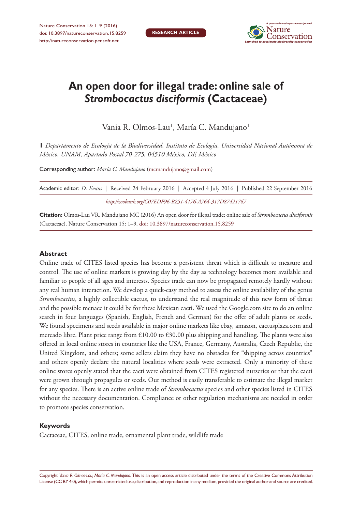

# **An open door for illegal trade: online sale of**  *Strombocactus disciformis* **(Cactaceae)**

Vania R. Olmos-Lau', María C. Mandujano'

**1** *Departamento de Ecología de la Biodiversidad, Instituto de Ecología, Universidad Nacional Autónoma de México, UNAM, Apartado Postal 70-275, 04510 México, DF, México*

Corresponding author: *María C. Mandujano* ([mcmandujano@gmail.com](mailto:mcmandujano@gmail.com))

| Academic editor: <i>D. Evans</i> Received 24 February 2016   Accepted 4 July 2016   Published 22 September 2016 |  |  |  |
|-----------------------------------------------------------------------------------------------------------------|--|--|--|
| http://zoobank.org/C07EDF96-B251-4176-A764-317D87421767                                                         |  |  |  |

**Citation:** Olmos-Lau VR, Mandujano MC (2016) An open door for illegal trade: online sale of *Strombocactus disciformis* (Cactaceae). Nature Conservation 15: 1–9. [doi: 10.3897/natureconservation.15.8259](http://dx.doi.org/10.3897/natureconservation.15.8259)

#### **Abstract**

Online trade of CITES listed species has become a persistent threat which is difficult to measure and control. The use of online markets is growing day by the day as technology becomes more available and familiar to people of all ages and interests. Species trade can now be propagated remotely hardly without any real human interaction. We develop a quick-easy method to assess the online availability of the genus *Strombocactus*, a highly collectible cactus, to understand the real magnitude of this new form of threat and the possible menace it could be for these Mexican cacti. We used the Google.com site to do an online search in four languages (Spanish, English, French and German) for the offer of adult plants or seeds. We found specimens and seeds available in major online markets like ebay, amazon, cactusplaza.com and mercado libre. Plant price range from  $\epsilon$ 10.00 to  $\epsilon$ 30.00 plus shipping and handling. The plants were also offered in local online stores in countries like the USA, France, Germany, Australia, Czech Republic, the United Kingdom, and others; some sellers claim they have no obstacles for "shipping across countries" and others openly declare the natural localities where seeds were extracted. Only a minority of these online stores openly stated that the cacti were obtained from CITES registered nurseries or that the cacti were grown through propagules or seeds. Our method is easily transferable to estimate the illegal market for any species. There is an active online trade of *Strombocactus* species and other species listed in CITES without the necessary documentation. Compliance or other regulation mechanisms are needed in order to promote species conservation.

#### **Keywords**

Cactaceae, CITES, online trade, ornamental plant trade, wildlife trade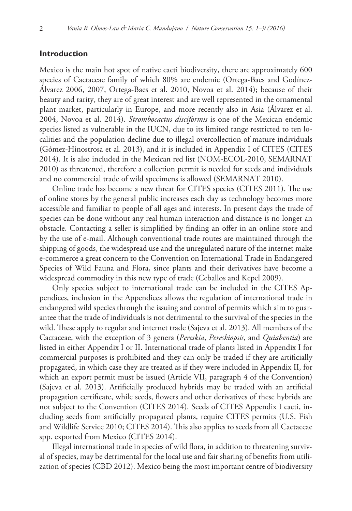#### **Introduction**

Mexico is the main hot spot of native cacti biodiversity, there are approximately 600 species of Cactaceae family of which 80% are endemic (Ortega-Baes and Godínez-Álvarez 2006, 2007, Ortega-Baes et al. 2010, Novoa et al. 2014); because of their beauty and rarity, they are of great interest and are well represented in the ornamental plant market, particularly in Europe, and more recently also in Asia (Álvarez et al. 2004, Novoa et al. 2014). *Strombocactus disciformis* is one of the Mexican endemic species listed as vulnerable in the IUCN, due to its limited range restricted to ten localities and the population decline due to illegal overcollection of mature individuals (Gómez-Hinostrosa et al. 2013), and it is included in Appendix I of CITES (CITES 2014). It is also included in the Mexican red list (NOM-ECOL-2010, SEMARNAT 2010) as threatened, therefore a collection permit is needed for seeds and individuals and no commercial trade of wild specimens is allowed (SEMARNAT 2010).

Online trade has become a new threat for CITES species (CITES 2011). The use of online stores by the general public increases each day as technology becomes more accessible and familiar to people of all ages and interests. In present days the trade of species can be done without any real human interaction and distance is no longer an obstacle. Contacting a seller is simplified by finding an offer in an online store and by the use of e-mail. Although conventional trade routes are maintained through the shipping of goods, the widespread use and the unregulated nature of the internet make e-commerce a great concern to the Convention on International Trade in Endangered Species of Wild Fauna and Flora, since plants and their derivatives have become a widespread commodity in this new type of trade (Ceballos and Kepel 2009).

Only species subject to international trade can be included in the CITES Appendices, inclusion in the Appendices allows the regulation of international trade in endangered wild species through the issuing and control of permits which aim to guarantee that the trade of individuals is not detrimental to the survival of the species in the wild. These apply to regular and internet trade (Sajeva et al. 2013). All members of the Cactaceae, with the exception of 3 genera (*Pereskia*, *Pereskiopsis*, and *Quiabentia*) are listed in either Appendix I or II. International trade of plants listed in Appendix I for commercial purposes is prohibited and they can only be traded if they are artificially propagated, in which case they are treated as if they were included in Appendix II, for which an export permit must be issued (Article VII, paragraph 4 of the Convention) (Sajeva et al. 2013). Artificially produced hybrids may be traded with an artificial propagation certificate, while seeds, flowers and other derivatives of these hybrids are not subject to the Convention (CITES 2014). Seeds of CITES Appendix I cacti, including seeds from artificially propagated plants, require CITES permits (U.S. Fish and Wildlife Service 2010; CITES 2014). This also applies to seeds from all Cactaceae spp. exported from Mexico (CITES 2014).

Illegal international trade in species of wild flora, in addition to threatening survival of species, may be detrimental for the local use and fair sharing of benefits from utilization of species (CBD 2012). Mexico being the most important centre of biodiversity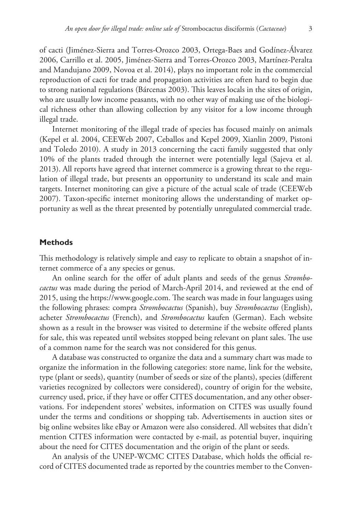of cacti (Jiménez-Sierra and Torres-Orozco 2003, Ortega-Baes and Godínez-Álvarez 2006, Carrillo et al. 2005, Jiménez-Sierra and Torres-Orozco 2003, Martínez-Peralta and Mandujano 2009, Novoa et al. 2014), plays no important role in the commercial reproduction of cacti for trade and propagation activities are often hard to begin due to strong national regulations (Bárcenas 2003). This leaves locals in the sites of origin, who are usually low income peasants, with no other way of making use of the biological richness other than allowing collection by any visitor for a low income through illegal trade.

Internet monitoring of the illegal trade of species has focused mainly on animals (Kepel et al. 2004, CEEWeb 2007, Ceballos and Kepel 2009, Xianlin 2009, Pistoni and Toledo 2010). A study in 2013 concerning the cacti family suggested that only 10% of the plants traded through the internet were potentially legal (Sajeva et al. 2013). All reports have agreed that internet commerce is a growing threat to the regulation of illegal trade, but presents an opportunity to understand its scale and main targets. Internet monitoring can give a picture of the actual scale of trade (CEEWeb 2007). Taxon-specific internet monitoring allows the understanding of market opportunity as well as the threat presented by potentially unregulated commercial trade.

#### **Methods**

This methodology is relatively simple and easy to replicate to obtain a snapshot of internet commerce of a any species or genus.

An online search for the offer of adult plants and seeds of the genus *Strombocactus* was made during the period of March-April 2014, and reviewed at the end of 2015, using the<https://www.google.com>. The search was made in four languages using the following phrases: compra *Strombocactus* (Spanish), buy *Strombocactus* (English), acheter *Strombocactus* (French), and *Strombocactus* kaufen (German). Each website shown as a result in the browser was visited to determine if the website offered plants for sale, this was repeated until websites stopped being relevant on plant sales. The use of a common name for the search was not considered for this genus.

A database was constructed to organize the data and a summary chart was made to organize the information in the following categories: store name, link for the website, type (plant or seeds), quantity (number of seeds or size of the plants), species (different varieties recognized by collectors were considered), country of origin for the website, currency used, price, if they have or offer CITES documentation, and any other observations. For independent stores' websites, information on CITES was usually found under the terms and conditions or shopping tab. Advertisements in auction sites or big online websites like eBay or Amazon were also considered. All websites that didn't mention CITES information were contacted by e-mail, as potential buyer, inquiring about the need for CITES documentation and the origin of the plant or seeds.

An analysis of the UNEP-WCMC CITES Database, which holds the official record of CITES documented trade as reported by the countries member to the Conven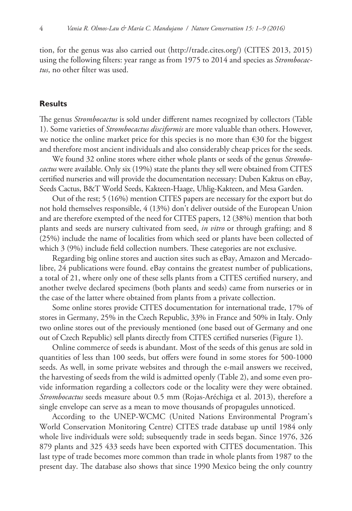tion, for the genus was also carried out ([http://trade.cites.org/\)](http://trade.cites.org/) (CITES 2013, 2015) using the following filters: year range as from 1975 to 2014 and species as *Strombocactus*, no other filter was used.

#### **Results**

The genus *Strombocactus* is sold under different names recognized by collectors (Table 1). Some varieties of *Strombocactus disciformis* are more valuable than others. However, we notice the online market price for this species is no more than €30 for the biggest and therefore most ancient individuals and also considerably cheap prices for the seeds.

We found 32 online stores where either whole plants or seeds of the genus *Strombocactus* were available. Only six (19%) state the plants they sell were obtained from CITES certified nurseries and will provide the documentation necessary: Duben Kaktus on eBay, Seeds Cactus, B&T World Seeds, Kakteen-Haage, Uhlig-Kakteen, and Mesa Garden.

Out of the rest; 5 (16%) mention CITES papers are necessary for the export but do not hold themselves responsible, 4 (13%) don't deliver outside of the European Union and are therefore exempted of the need for CITES papers, 12 (38%) mention that both plants and seeds are nursery cultivated from seed, *in vitro* or through grafting; and 8 (25%) include the name of localities from which seed or plants have been collected of which 3 (9%) include field collection numbers. These categories are not exclusive.

Regarding big online stores and auction sites such as eBay, Amazon and Mercadolibre, 24 publications were found. eBay contains the greatest number of publications, a total of 21, where only one of these sells plants from a CITES certified nursery, and another twelve declared specimens (both plants and seeds) came from nurseries or in the case of the latter where obtained from plants from a private collection.

Some online stores provide CITES documentation for international trade, 17% of stores in Germany, 25% in the Czech Republic, 33% in France and 50% in Italy. Only two online stores out of the previously mentioned (one based out of Germany and one out of Czech Republic) sell plants directly from CITES certified nurseries (Figure 1).

Online commerce of seeds is abundant. Most of the seeds of this genus are sold in quantities of less than 100 seeds, but offers were found in some stores for 500-1000 seeds. As well, in some private websites and through the e-mail answers we received, the harvesting of seeds from the wild is admitted openly (Table 2), and some even provide information regarding a collectors code or the locality were they were obtained. *Strombocactus* seeds measure about 0.5 mm (Rojas-Aréchiga et al. 2013), therefore a single envelope can serve as a mean to move thousands of propagules unnoticed.

According to the UNEP-WCMC (United Nations Environmental Program's World Conservation Monitoring Centre) CITES trade database up until 1984 only whole live individuals were sold; subsequently trade in seeds began. Since 1976, 326 879 plants and 325 433 seeds have been exported with CITES documentation. This last type of trade becomes more common than trade in whole plants from 1987 to the present day. The database also shows that since 1990 Mexico being the only country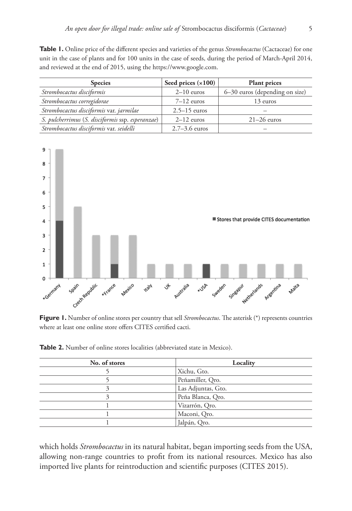**Table 1.** Online price of the different species and varieties of the genus *Strombocactus* (Cactaceae) for one unit in the case of plants and for 100 units in the case of seeds, during the period of March-April 2014, and reviewed at the end of 2015, using the [https://www.google.com.](https://www.google.com)

| <b>Species</b>                                   | Seed prices $(x100)$ | <b>Plant prices</b>            |
|--------------------------------------------------|----------------------|--------------------------------|
| Strombocactus disciformis                        | $2-10$ euros         | 6–30 euros (depending on size) |
| Strombocactus corregidorae                       | $7-12$ euros         | 13 euros                       |
| Strombocactus disciformis var. jarmilae          | $2.5 - 15$ euros     |                                |
| S. pulcherrimus (S. disciformis ssp. esperanzae) | $2-12$ euros         | $21-26$ euros                  |
| Strombocactus disciformis var. seidelli          | $2.7 - 3.6$ euros    |                                |



**Figure 1.** Number of online stores per country that sell *Strombocactus*. The asterisk (\*) represents countries where at least one online store offers CITES certified cacti.

| No. of stores | Locality           |
|---------------|--------------------|
|               | Xichu, Gto.        |
|               | Peñamiller, Qro.   |
|               | Las Adjuntas, Gto. |
|               | Peña Blanca, Qro.  |
|               | Vizarrón, Qro.     |
|               | Maconi, Qro.       |
|               | Jalpán, Qro.       |

**Table 2.** Number of online stores localities (abbreviated state in Mexico).

which holds *Strombocactus* in its natural habitat, began importing seeds from the USA, allowing non-range countries to profit from its national resources. Mexico has also imported live plants for reintroduction and scientific purposes (CITES 2015).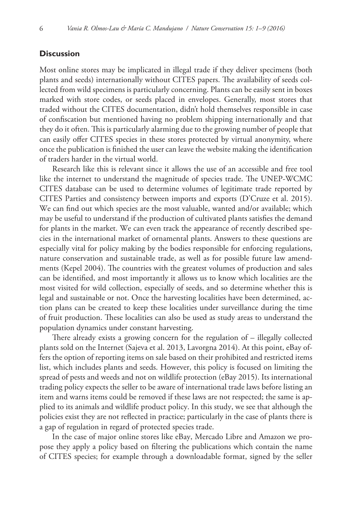#### **Discussion**

Most online stores may be implicated in illegal trade if they deliver specimens (both plants and seeds) internationally without CITES papers. The availability of seeds collected from wild specimens is particularly concerning. Plants can be easily sent in boxes marked with store codes, or seeds placed in envelopes. Generally, most stores that traded without the CITES documentation, didn't hold themselves responsible in case of confiscation but mentioned having no problem shipping internationally and that they do it often. This is particularly alarming due to the growing number of people that can easily offer CITES species in these stores protected by virtual anonymity, where once the publication is finished the user can leave the website making the identification of traders harder in the virtual world.

Research like this is relevant since it allows the use of an accessible and free tool like the internet to understand the magnitude of species trade. The UNEP-WCMC CITES database can be used to determine volumes of legitimate trade reported by CITES Parties and consistency between imports and exports (D'Cruze et al. 2015). We can find out which species are the most valuable, wanted and/or available; which may be useful to understand if the production of cultivated plants satisfies the demand for plants in the market. We can even track the appearance of recently described species in the international market of ornamental plants. Answers to these questions are especially vital for policy making by the bodies responsible for enforcing regulations, nature conservation and sustainable trade, as well as for possible future law amendments (Kepel 2004). The countries with the greatest volumes of production and sales can be identified, and most importantly it allows us to know which localities are the most visited for wild collection, especially of seeds, and so determine whether this is legal and sustainable or not. Once the harvesting localities have been determined, action plans can be created to keep these localities under surveillance during the time of fruit production. These localities can also be used as study areas to understand the population dynamics under constant harvesting.

There already exists a growing concern for the regulation of – illegally collected plants sold on the Internet (Sajeva et al. 2013, Lavorgna 2014). At this point, eBay offers the option of reporting items on sale based on their prohibited and restricted items list, which includes plants and seeds. However, this policy is focused on limiting the spread of pests and weeds and not on wildlife protection (eBay 2015). Its international trading policy expects the seller to be aware of international trade laws before listing an item and warns items could be removed if these laws are not respected; the same is applied to its animals and wildlife product policy. In this study, we see that although the policies exist they are not reflected in practice; particularly in the case of plants there is a gap of regulation in regard of protected species trade.

In the case of major online stores like eBay, Mercado Libre and Amazon we propose they apply a policy based on filtering the publications which contain the name of CITES species; for example through a downloadable format, signed by the seller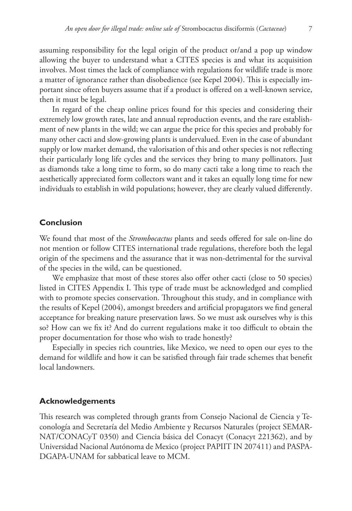assuming responsibility for the legal origin of the product or/and a pop up window allowing the buyer to understand what a CITES species is and what its acquisition involves. Most times the lack of compliance with regulations for wildlife trade is more a matter of ignorance rather than disobedience (see Kepel 2004). This is especially important since often buyers assume that if a product is offered on a well-known service, then it must be legal.

In regard of the cheap online prices found for this species and considering their extremely low growth rates, late and annual reproduction events, and the rare establishment of new plants in the wild; we can argue the price for this species and probably for many other cacti and slow-growing plants is undervalued. Even in the case of abundant supply or low market demand, the valorisation of this and other species is not reflecting their particularly long life cycles and the services they bring to many pollinators. Just as diamonds take a long time to form, so do many cacti take a long time to reach the aesthetically appreciated form collectors want and it takes an equally long time for new individuals to establish in wild populations; however, they are clearly valued differently.

## **Conclusion**

We found that most of the *Strombocactus* plants and seeds offered for sale on-line do not mention or follow CITES international trade regulations, therefore both the legal origin of the specimens and the assurance that it was non-detrimental for the survival of the species in the wild, can be questioned.

We emphasize that most of these stores also offer other cacti (close to 50 species) listed in CITES Appendix I. This type of trade must be acknowledged and complied with to promote species conservation. Throughout this study, and in compliance with the results of Kepel (2004), amongst breeders and artificial propagators we find general acceptance for breaking nature preservation laws. So we must ask ourselves why is this so? How can we fix it? And do current regulations make it too difficult to obtain the proper documentation for those who wish to trade honestly?

Especially in species rich countries, like Mexico, we need to open our eyes to the demand for wildlife and how it can be satisfied through fair trade schemes that benefit local landowners.

#### **Acknowledgements**

This research was completed through grants from Consejo Nacional de Ciencia y Teconología and Secretaría del Medio Ambiente y Recursos Naturales (project SEMAR-NAT/CONACyT 0350) and Ciencia básica del Conacyt (Conacyt 221362), and by Universidad Nacional Autónoma de Mexico (project PAPIIT IN 207411) and PASPA-DGAPA-UNAM for sabbatical leave to MCM.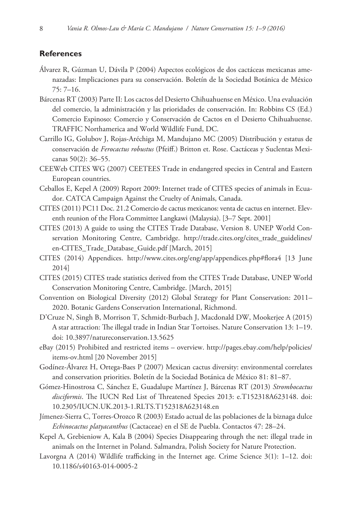### **References**

- Álvarez R, Gúzman U, Dávila P (2004) Aspectos ecológicos de dos cactáceas mexicanas amenazadas: Implicaciones para su conservación. Boletín de la Sociedad Botánica de México 75: 7–16.
- Bárcenas RT (2003) Parte II: Los cactos del Desierto Chihuahuense en México. Una evaluación del comercio, la administración y las prioridades de conservación. In: Robbins CS (Ed.) Comercio Espinoso: Comercio y Conservación de Cactos en el Desierto Chihuahuense. TRAFFIC Northamerica and World Wildlife Fund, DC.
- Carrillo IG, Golubov J, Rojas-Aréchiga M, Mandujano MC (2005) Distribución y estatus de conservación de *Ferocactus robustus* (Pfeiff.) Britton et. Rose. Cactáceas y Suclentas Mexicanas 50(2): 36–55.
- CEEWeb CITES WG (2007) CEETEES Trade in endangered species in Central and Eastern European countries.
- Ceballos E, Kepel A (2009) Report 2009: Internet trade of CITES species of animals in Ecuador. CATCA Campaign Against the Cruelty of Animals, Canada.
- CITES (2011) PC11 Doc. 21.2 Comercio de cactus mexicanos: venta de cactus en internet. Eleventh reunion of the Flora Committee Langkawi (Malaysia). [3–7 Sept. 2001]
- CITES (2013) A guide to using the CITES Trade Database, Version 8. UNEP World Conservation Monitoring Centre, Cambridge. [http://trade.cites.org/cites\\_trade\\_guidelines/](http://trade.cites.org/cites_trade_guidelines/en-CITES_Trade_Database_Guide.pdf) [en-CITES\\_Trade\\_Database\\_Guide.pdf](http://trade.cites.org/cites_trade_guidelines/en-CITES_Trade_Database_Guide.pdf) [March, 2015]
- CITES (2014) Appendices. <http://www.cites.org/eng/app/appendices.php#flora4> [13 June 2014]
- CITES (2015) CITES trade statistics derived from the CITES Trade Database, UNEP World Conservation Monitoring Centre, Cambridge. [March, 2015]
- Convention on Biological Diversity (2012) Global Strategy for Plant Conservation: 2011– 2020. Botanic Gardens Conservation International, Richmond.
- D'Cruze N, Singh B, Morrison T, Schmidt-Burbach J, Macdonald DW, Mookerjee A (2015) A star attraction: The illegal trade in Indian Star Tortoises. Nature Conservation 13: 1–19. [doi: 10.3897/natureconservation.13.5625](http://dx.doi.org/10.3897/natureconservation.13.5625)
- eBay (2015) Prohibited and restricted items overview. [http://pages.ebay.com/help/policies/](http://pages.ebay.com/help/policies/items-ov.html) [items-ov.html](http://pages.ebay.com/help/policies/items-ov.html) [20 November 2015]
- Godínez-Álvarez H, Ortega-Baes P (2007) Mexican cactus diversity: environmental correlates and conservation priorities. Boletín de la Sociedad Botánica de México 81: 81–87.
- Gómez-Hinostrosa C, Sánchez E, Guadalupe Martínez J, Bárcenas RT (2013) *Strombocactus disciformis*. The IUCN Red List of Threatened Species 2013: e.T152318A623148. [doi:](http://dx.doi.org/10.2305/IUCN.UK.2013-1.RLTS.T152318A623148.en) [10.2305/IUCN.UK.2013-1.RLTS.T152318A623148.en](http://dx.doi.org/10.2305/IUCN.UK.2013-1.RLTS.T152318A623148.en)
- Jímenez-Sierra C, Torres-Orozco R (2003) Estado actual de las poblaciones de la biznaga dulce *Echinocactus platyacanthus* (Cactaceae) en el SE de Puebla. Contactos 47: 28–24.
- Kepel A, Grebieniow A, Kala B (2004) Species Disappearing through the net: illegal trade in animals on the Internet in Poland. Salmandra, Polish Society for Nature Protection.
- Lavorgna A (2014) Wildlife trafficking in the Internet age. Crime Science 3(1): 1–12. [doi:](http://dx.doi.org/10.1186/s40163-014-0005-2) [10.1186/s40163-014-0005-2](http://dx.doi.org/10.1186/s40163-014-0005-2)